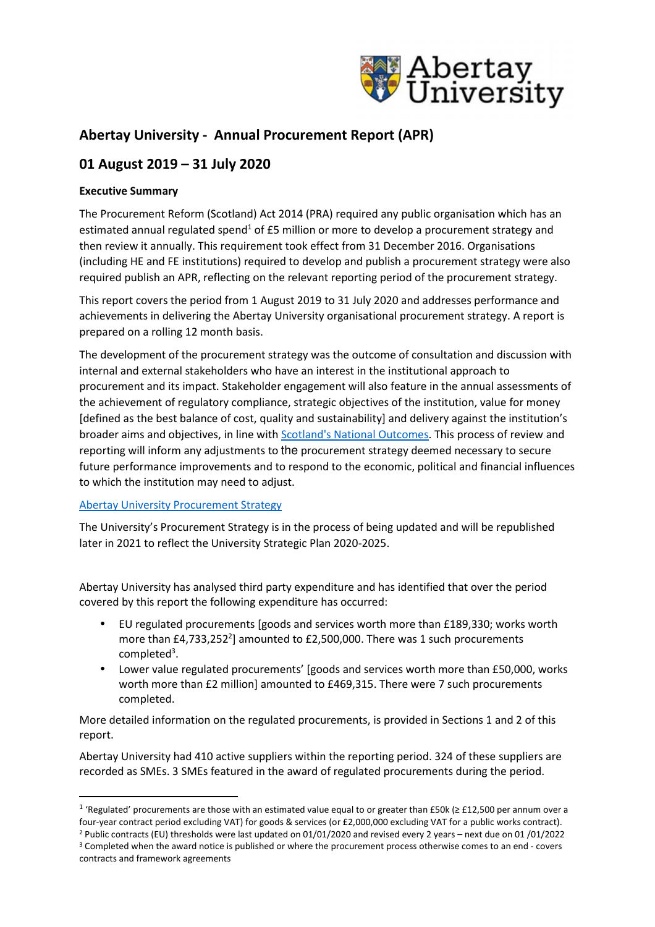

# **Abertay University - Annual Procurement Report (APR)**

# **01 August 2019 – 31 July 2020**

# **Executive Summary**

The Procurement Reform (Scotland) Act 2014 (PRA) required any public organisation which has an estimated annual regulated spend<sup>1</sup> of £5 million or more to develop a procurement strategy and then review it annually. This requirement took effect from 31 December 2016. Organisations (including HE and FE institutions) required to develop and publish a procurement strategy were also required publish an APR, reflecting on the relevant reporting period of the procurement strategy.

This report covers the period from 1 August 2019 to 31 July 2020 and addresses performance and achievements in delivering the Abertay University organisational procurement strategy. A report is prepared on a rolling 12 month basis.

The development of the procurement strategy was the outcome of consultation and discussion with internal and external stakeholders who have an interest in the institutional approach to procurement and its impact. Stakeholder engagement will also feature in the annual assessments of the achievement of regulatory compliance, strategic objectives of the institution, value for money [defined as the best balance of cost, quality and sustainability] and delivery against the institution's broader aims and objectives, in line with Scotland's National Outcomes. This process of review and reporting will inform any adjustments to the procurement strategy deemed necessary to secure future performance improvements and to respond to the economic, political and financial influences to which the institution may need to adjust.

#### Abertay University Procurement Strategy

The University's Procurement Strategy is in the process of being updated and will be republished later in 2021 to reflect the University Strategic Plan 2020-2025.

Abertay University has analysed third party expenditure and has identified that over the period covered by this report the following expenditure has occurred:

- EU regulated procurements [goods and services worth more than £189,330; works worth more than  $E4$ ,733,252<sup>2</sup>] amounted to £2,500,000. There was 1 such procurements completed<sup>3</sup>.
- Lower value regulated procurements' [goods and services worth more than £50,000, works worth more than £2 million] amounted to £469,315. There were 7 such procurements completed.

More detailed information on the regulated procurements, is provided in Sections 1 and 2 of this report.

Abertay University had 410 active suppliers within the reporting period. 324 of these suppliers are recorded as SMEs. 3 SMEs featured in the award of regulated procurements during the period.

<sup>&</sup>lt;sup>1</sup> 'Regulated' procurements are those with an estimated value equal to or greater than £50k (≥ £12,500 per annum over a four-year contract period excluding VAT) for goods & services (or £2,000,000 excluding VAT for a public works contract).

<sup>2</sup> Public contracts (EU) thresholds were last updated on 01/01/2020 and revised every 2 years – next due on 01 /01/2022 <sup>3</sup> Completed when the award notice is published or where the procurement process otherwise comes to an end - covers contracts and framework agreements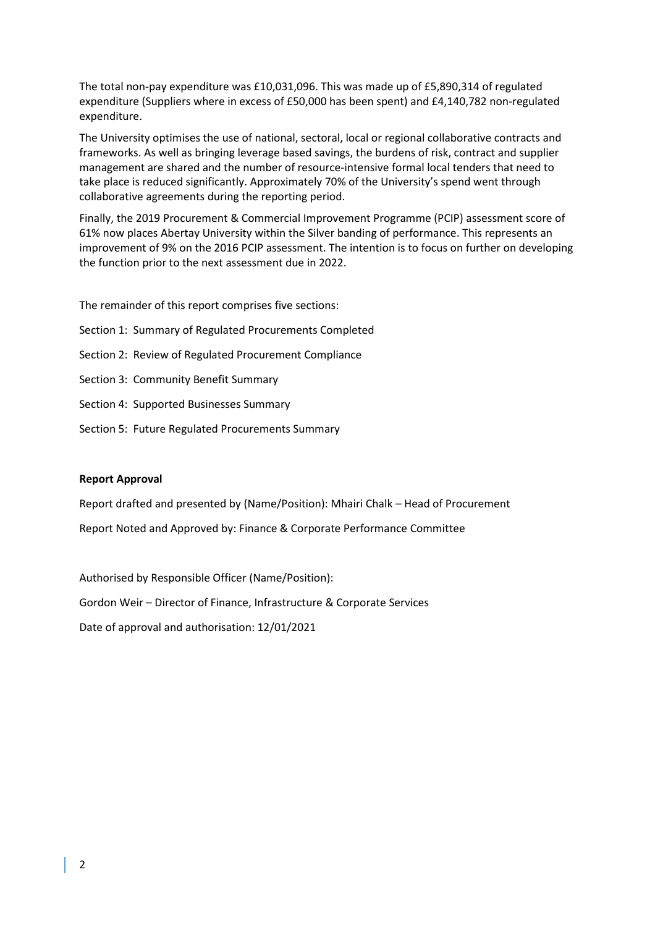The total non-pay expenditure was £10,031,096. This was made up of £5,890,314 of regulated expenditure (Suppliers where in excess of £50,000 has been spent) and £4,140,782 non-regulated expenditure.

The University optimises the use of national, sectoral, local or regional collaborative contracts and frameworks. As well as bringing leverage based savings, the burdens of risk, contract and supplier management are shared and the number of resource-intensive formal local tenders that need to take place is reduced significantly. Approximately 70% of the University's spend went through collaborative agreements during the reporting period.

Finally, the 2019 Procurement & Commercial Improvement Programme (PCIP) assessment score of 61% now places Abertay University within the Silver banding of performance. This represents an improvement of 9% on the 2016 PCIP assessment. The intention is to focus on further on developing the function prior to the next assessment due in 2022.

The remainder of this report comprises five sections:

- Section 1: Summary of Regulated Procurements Completed
- Section 2: Review of Regulated Procurement Compliance
- Section 3: Community Benefit Summary
- Section 4: Supported Businesses Summary
- Section 5: Future Regulated Procurements Summary

#### **Report Approval**

Report drafted and presented by (Name/Position): Mhairi Chalk – Head of Procurement

Report Noted and Approved by: Finance & Corporate Performance Committee

Authorised by Responsible Officer (Name/Position):

Gordon Weir – Director of Finance, Infrastructure & Corporate Services

Date of approval and authorisation: 12/01/2021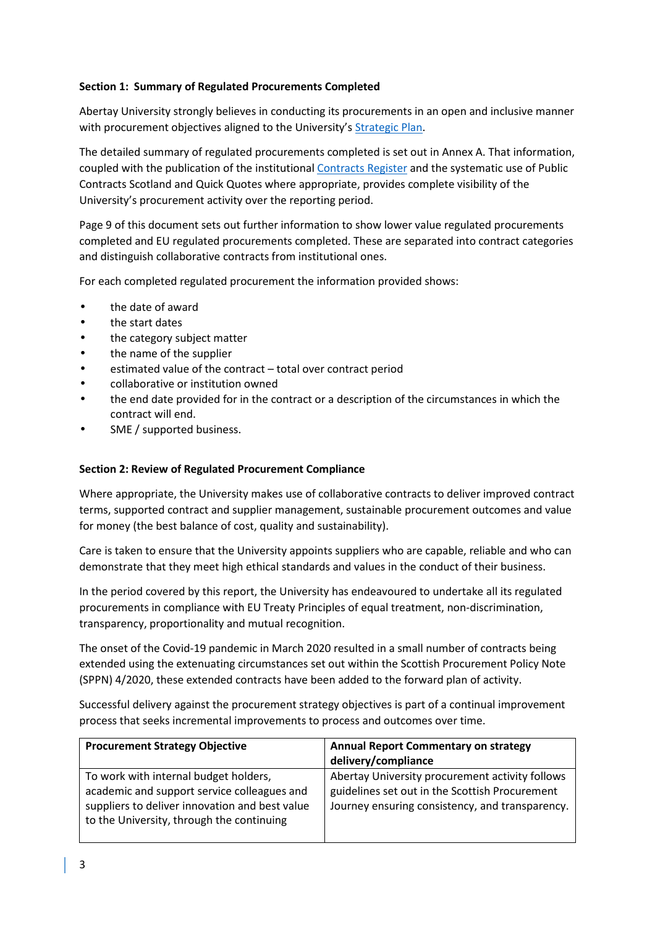# **Section 1: Summary of Regulated Procurements Completed**

Abertay University strongly believes in conducting its procurements in an open and inclusive manner with procurement objectives aligned to the University's Strategic Plan.

The detailed summary of regulated procurements completed is set out in Annex A. That information, coupled with the publication of the institutional Contracts Register and the systematic use of Public Contracts Scotland and Quick Quotes where appropriate, provides complete visibility of the University's procurement activity over the reporting period.

Page 9 of this document sets out further information to show lower value regulated procurements completed and EU regulated procurements completed. These are separated into contract categories and distinguish collaborative contracts from institutional ones.

For each completed regulated procurement the information provided shows:

- the date of award
- the start dates
- the category subject matter
- the name of the supplier
- estimated value of the contract total over contract period
- collaborative or institution owned
- the end date provided for in the contract or a description of the circumstances in which the contract will end.
- SME / supported business.

#### **Section 2: Review of Regulated Procurement Compliance**

Where appropriate, the University makes use of collaborative contracts to deliver improved contract terms, supported contract and supplier management, sustainable procurement outcomes and value for money (the best balance of cost, quality and sustainability).

Care is taken to ensure that the University appoints suppliers who are capable, reliable and who can demonstrate that they meet high ethical standards and values in the conduct of their business.

In the period covered by this report, the University has endeavoured to undertake all its regulated procurements in compliance with EU Treaty Principles of equal treatment, non-discrimination, transparency, proportionality and mutual recognition.

The onset of the Covid-19 pandemic in March 2020 resulted in a small number of contracts being extended using the extenuating circumstances set out within the Scottish Procurement Policy Note (SPPN) 4/2020, these extended contracts have been added to the forward plan of activity.

Successful delivery against the procurement strategy objectives is part of a continual improvement process that seeks incremental improvements to process and outcomes over time.

| <b>Procurement Strategy Objective</b>                                                                                                                                               | <b>Annual Report Commentary on strategy</b><br>delivery/compliance                                                                                   |
|-------------------------------------------------------------------------------------------------------------------------------------------------------------------------------------|------------------------------------------------------------------------------------------------------------------------------------------------------|
| To work with internal budget holders,<br>academic and support service colleagues and<br>suppliers to deliver innovation and best value<br>to the University, through the continuing | Abertay University procurement activity follows<br>guidelines set out in the Scottish Procurement<br>Journey ensuring consistency, and transparency. |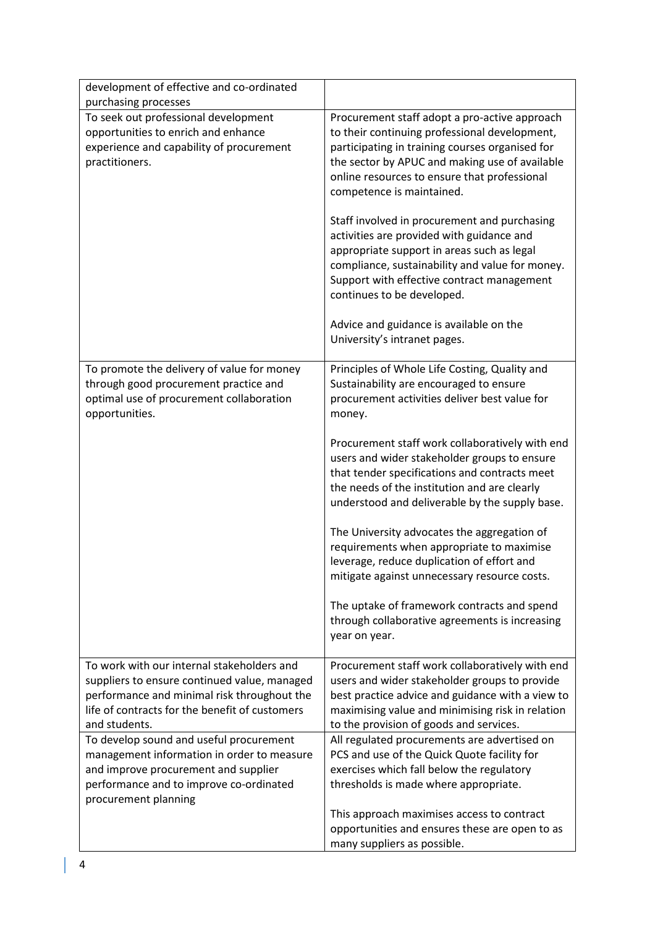| development of effective and co-ordinated                                                                                                                                                                    |                                                                                                                                                                                                                                                                                                                                                                               |
|--------------------------------------------------------------------------------------------------------------------------------------------------------------------------------------------------------------|-------------------------------------------------------------------------------------------------------------------------------------------------------------------------------------------------------------------------------------------------------------------------------------------------------------------------------------------------------------------------------|
| purchasing processes                                                                                                                                                                                         |                                                                                                                                                                                                                                                                                                                                                                               |
| To seek out professional development<br>opportunities to enrich and enhance<br>experience and capability of procurement<br>practitioners.                                                                    | Procurement staff adopt a pro-active approach<br>to their continuing professional development,<br>participating in training courses organised for<br>the sector by APUC and making use of available<br>online resources to ensure that professional<br>competence is maintained.<br>Staff involved in procurement and purchasing<br>activities are provided with guidance and |
|                                                                                                                                                                                                              | appropriate support in areas such as legal<br>compliance, sustainability and value for money.<br>Support with effective contract management<br>continues to be developed.                                                                                                                                                                                                     |
|                                                                                                                                                                                                              | Advice and guidance is available on the<br>University's intranet pages.                                                                                                                                                                                                                                                                                                       |
| To promote the delivery of value for money<br>through good procurement practice and<br>optimal use of procurement collaboration<br>opportunities.                                                            | Principles of Whole Life Costing, Quality and<br>Sustainability are encouraged to ensure<br>procurement activities deliver best value for<br>money.                                                                                                                                                                                                                           |
|                                                                                                                                                                                                              | Procurement staff work collaboratively with end<br>users and wider stakeholder groups to ensure<br>that tender specifications and contracts meet<br>the needs of the institution and are clearly<br>understood and deliverable by the supply base.                                                                                                                            |
|                                                                                                                                                                                                              | The University advocates the aggregation of<br>requirements when appropriate to maximise<br>leverage, reduce duplication of effort and<br>mitigate against unnecessary resource costs.                                                                                                                                                                                        |
|                                                                                                                                                                                                              | The uptake of framework contracts and spend<br>through collaborative agreements is increasing<br>year on year.                                                                                                                                                                                                                                                                |
| To work with our internal stakeholders and<br>suppliers to ensure continued value, managed<br>performance and minimal risk throughout the<br>life of contracts for the benefit of customers<br>and students. | Procurement staff work collaboratively with end<br>users and wider stakeholder groups to provide<br>best practice advice and guidance with a view to<br>maximising value and minimising risk in relation<br>to the provision of goods and services.                                                                                                                           |
| To develop sound and useful procurement                                                                                                                                                                      | All regulated procurements are advertised on                                                                                                                                                                                                                                                                                                                                  |
| management information in order to measure                                                                                                                                                                   | PCS and use of the Quick Quote facility for                                                                                                                                                                                                                                                                                                                                   |
| and improve procurement and supplier                                                                                                                                                                         | exercises which fall below the regulatory                                                                                                                                                                                                                                                                                                                                     |
| performance and to improve co-ordinated<br>procurement planning                                                                                                                                              | thresholds is made where appropriate.                                                                                                                                                                                                                                                                                                                                         |
|                                                                                                                                                                                                              | This approach maximises access to contract<br>opportunities and ensures these are open to as<br>many suppliers as possible.                                                                                                                                                                                                                                                   |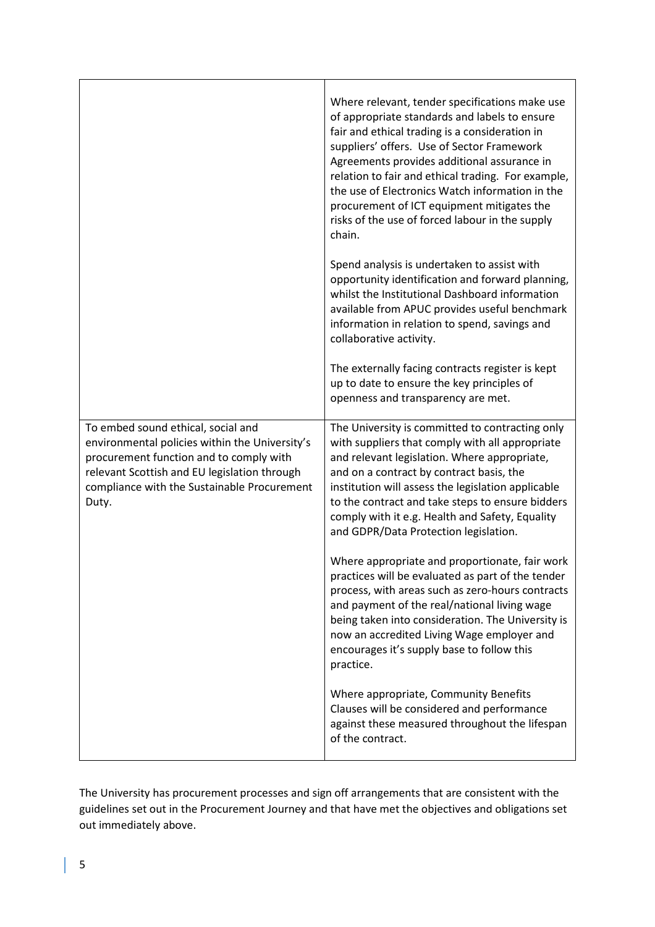|                                                                                                                                                                                                                                         | Where relevant, tender specifications make use<br>of appropriate standards and labels to ensure<br>fair and ethical trading is a consideration in<br>suppliers' offers. Use of Sector Framework<br>Agreements provides additional assurance in<br>relation to fair and ethical trading. For example,<br>the use of Electronics Watch information in the<br>procurement of ICT equipment mitigates the<br>risks of the use of forced labour in the supply<br>chain. |
|-----------------------------------------------------------------------------------------------------------------------------------------------------------------------------------------------------------------------------------------|--------------------------------------------------------------------------------------------------------------------------------------------------------------------------------------------------------------------------------------------------------------------------------------------------------------------------------------------------------------------------------------------------------------------------------------------------------------------|
|                                                                                                                                                                                                                                         | Spend analysis is undertaken to assist with<br>opportunity identification and forward planning,<br>whilst the Institutional Dashboard information<br>available from APUC provides useful benchmark<br>information in relation to spend, savings and<br>collaborative activity.                                                                                                                                                                                     |
|                                                                                                                                                                                                                                         | The externally facing contracts register is kept<br>up to date to ensure the key principles of<br>openness and transparency are met.                                                                                                                                                                                                                                                                                                                               |
| To embed sound ethical, social and<br>environmental policies within the University's<br>procurement function and to comply with<br>relevant Scottish and EU legislation through<br>compliance with the Sustainable Procurement<br>Duty. | The University is committed to contracting only<br>with suppliers that comply with all appropriate<br>and relevant legislation. Where appropriate,<br>and on a contract by contract basis, the<br>institution will assess the legislation applicable<br>to the contract and take steps to ensure bidders<br>comply with it e.g. Health and Safety, Equality<br>and GDPR/Data Protection legislation.                                                               |
|                                                                                                                                                                                                                                         | Where appropriate and proportionate, fair work<br>practices will be evaluated as part of the tender<br>process, with areas such as zero-hours contracts<br>and payment of the real/national living wage<br>being taken into consideration. The University is<br>now an accredited Living Wage employer and<br>encourages it's supply base to follow this<br>practice.                                                                                              |
|                                                                                                                                                                                                                                         | Where appropriate, Community Benefits<br>Clauses will be considered and performance<br>against these measured throughout the lifespan<br>of the contract.                                                                                                                                                                                                                                                                                                          |

The University has procurement processes and sign off arrangements that are consistent with the guidelines set out in the Procurement Journey and that have met the objectives and obligations set out immediately above.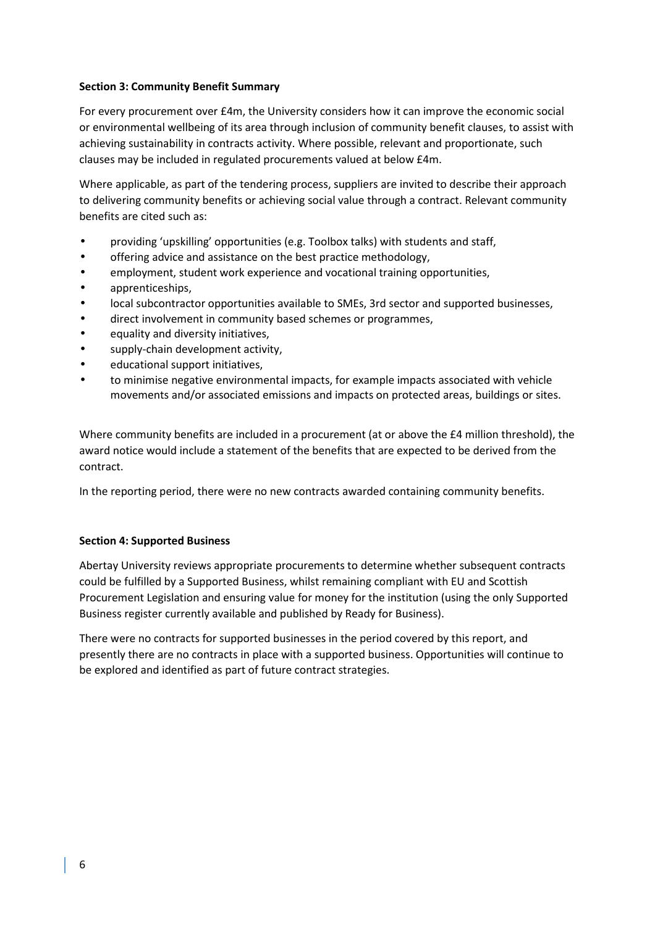## **Section 3: Community Benefit Summary**

For every procurement over £4m, the University considers how it can improve the economic social or environmental wellbeing of its area through inclusion of community benefit clauses, to assist with achieving sustainability in contracts activity. Where possible, relevant and proportionate, such clauses may be included in regulated procurements valued at below £4m.

Where applicable, as part of the tendering process, suppliers are invited to describe their approach to delivering community benefits or achieving social value through a contract. Relevant community benefits are cited such as:

- providing 'upskilling' opportunities (e.g. Toolbox talks) with students and staff,
- offering advice and assistance on the best practice methodology,
- employment, student work experience and vocational training opportunities,
- apprenticeships,
- local subcontractor opportunities available to SMEs, 3rd sector and supported businesses,
- direct involvement in community based schemes or programmes,
- equality and diversity initiatives,
- supply-chain development activity,
- educational support initiatives,
- to minimise negative environmental impacts, for example impacts associated with vehicle movements and/or associated emissions and impacts on protected areas, buildings or sites.

Where community benefits are included in a procurement (at or above the £4 million threshold), the award notice would include a statement of the benefits that are expected to be derived from the contract.

In the reporting period, there were no new contracts awarded containing community benefits.

#### **Section 4: Supported Business**

Abertay University reviews appropriate procurements to determine whether subsequent contracts could be fulfilled by a Supported Business, whilst remaining compliant with EU and Scottish Procurement Legislation and ensuring value for money for the institution (using the only Supported Business register currently available and published by Ready for Business).

There were no contracts for supported businesses in the period covered by this report, and presently there are no contracts in place with a supported business. Opportunities will continue to be explored and identified as part of future contract strategies.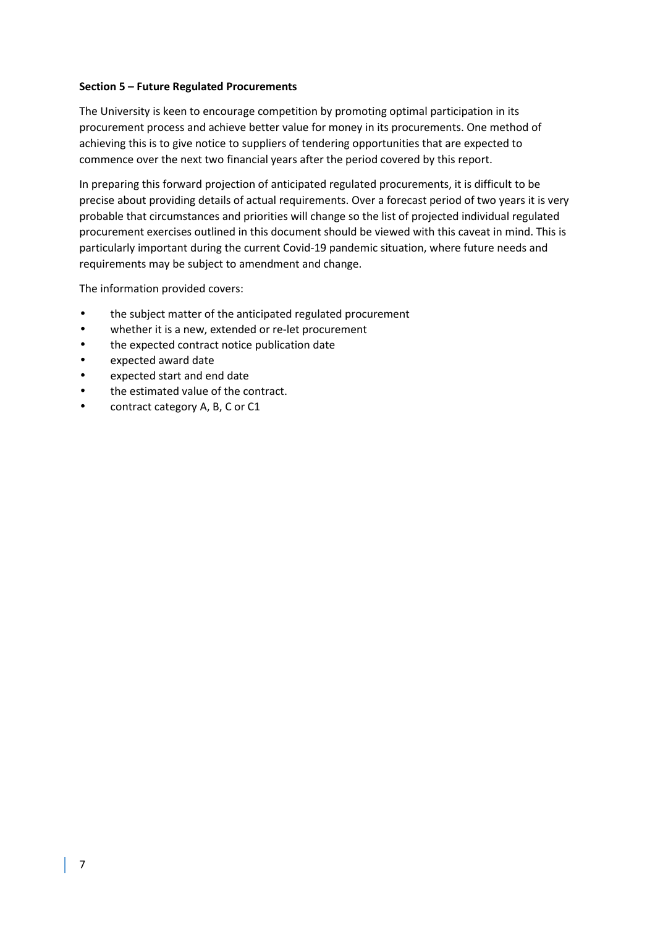#### **Section 5 – Future Regulated Procurements**

The University is keen to encourage competition by promoting optimal participation in its procurement process and achieve better value for money in its procurements. One method of achieving this is to give notice to suppliers of tendering opportunities that are expected to commence over the next two financial years after the period covered by this report.

In preparing this forward projection of anticipated regulated procurements, it is difficult to be precise about providing details of actual requirements. Over a forecast period of two years it is very probable that circumstances and priorities will change so the list of projected individual regulated procurement exercises outlined in this document should be viewed with this caveat in mind. This is particularly important during the current Covid-19 pandemic situation, where future needs and requirements may be subject to amendment and change.

The information provided covers:

- the subject matter of the anticipated regulated procurement
- whether it is a new, extended or re-let procurement
- the expected contract notice publication date
- expected award date
- expected start and end date
- the estimated value of the contract.
- contract category A, B, C or C1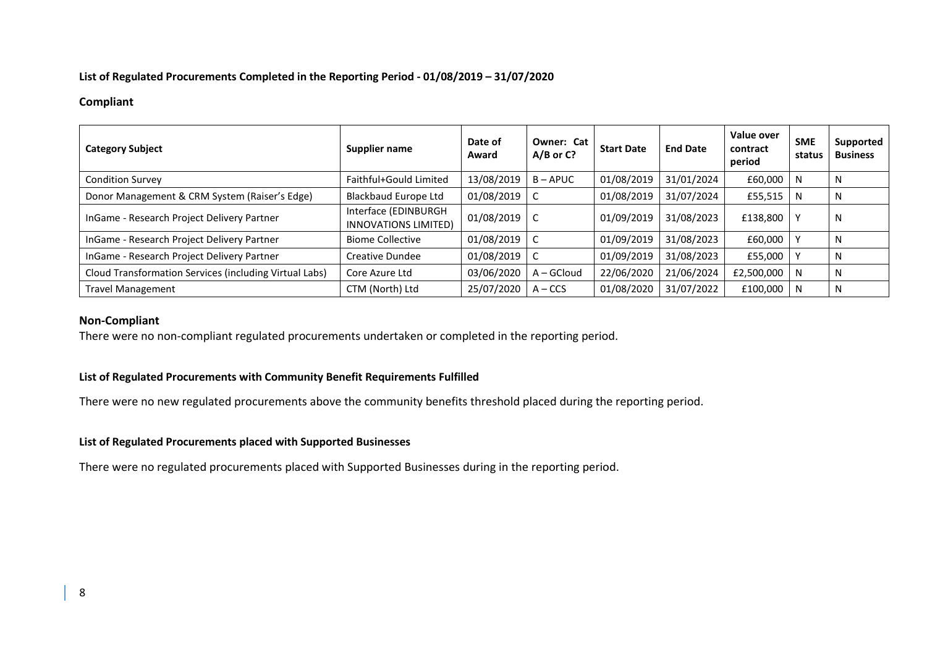## **List of Regulated Procurements Completed in the Reporting Period - 01/08/2019 – 31/07/2020**

## **Compliant**

| <b>Category Subject</b>                                | Supplier name                                | Date of<br>Award | Owner: Cat<br>$A/B$ or $C$ ? | <b>Start Date</b> | <b>End Date</b> | Value over<br>contract<br>period | <b>SME</b><br>status | Supported<br><b>Business</b> |
|--------------------------------------------------------|----------------------------------------------|------------------|------------------------------|-------------------|-----------------|----------------------------------|----------------------|------------------------------|
| <b>Condition Survey</b>                                | Faithful+Gould Limited                       | 13/08/2019       | $B - APUC$                   | 01/08/2019        | 31/01/2024      | £60,000                          | N                    | N                            |
| Donor Management & CRM System (Raiser's Edge)          | <b>Blackbaud Europe Ltd</b>                  | 01/08/2019       |                              | 01/08/2019        | 31/07/2024      | £55,515                          | N                    | N                            |
| InGame - Research Project Delivery Partner             | Interface (EDINBURGH<br>INNOVATIONS LIMITED) | 01/08/2019       |                              | 01/09/2019        | 31/08/2023      | £138,800                         |                      | N                            |
| InGame - Research Project Delivery Partner             | <b>Biome Collective</b>                      | 01/08/2019       |                              | 01/09/2019        | 31/08/2023      | £60,000                          |                      | N                            |
| InGame - Research Project Delivery Partner             | Creative Dundee                              | 01/08/2019       |                              | 01/09/2019        | 31/08/2023      | £55,000                          |                      | N                            |
| Cloud Transformation Services (including Virtual Labs) | Core Azure Ltd                               | 03/06/2020       | $A - GCloud$                 | 22/06/2020        | 21/06/2024      | £2,500,000                       | N.                   | N                            |
| <b>Travel Management</b>                               | CTM (North) Ltd                              | 25/07/2020       | $A - CCS$                    | 01/08/2020        | 31/07/2022      | £100,000                         | N                    | N                            |

#### **Non-Compliant**

There were no non-compliant regulated procurements undertaken or completed in the reporting period.

# **List of Regulated Procurements with Community Benefit Requirements Fulfilled**

There were no new regulated procurements above the community benefits threshold placed during the reporting period.

#### **List of Regulated Procurements placed with Supported Businesses**

There were no regulated procurements placed with Supported Businesses during in the reporting period.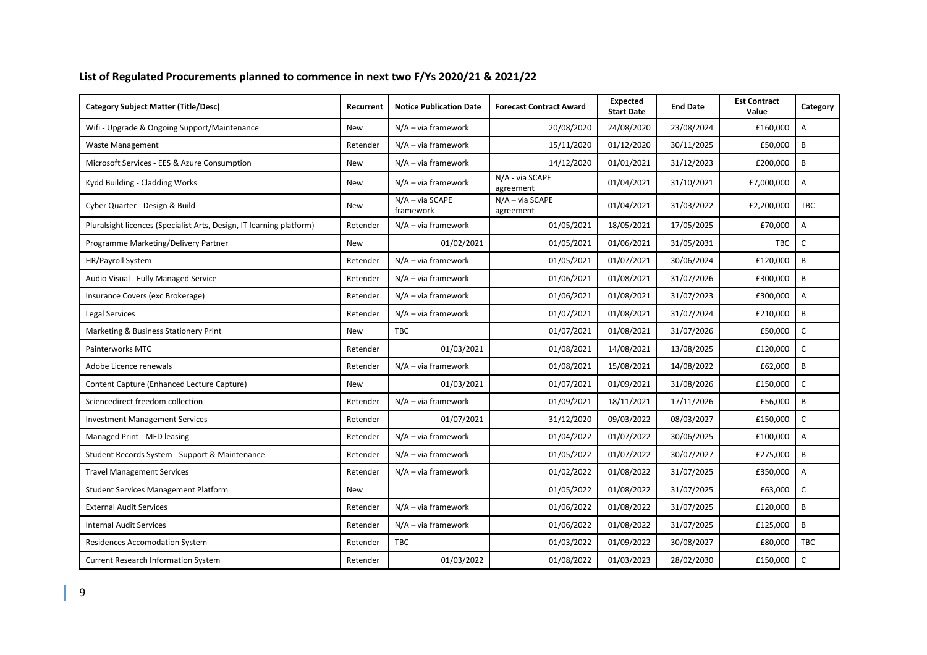## **List of Regulated Procurements planned to commence in next two F/Ys 2020/21 & 2021/22**

| <b>Category Subject Matter (Title/Desc)</b>                          | Recurrent  | <b>Notice Publication Date</b> | <b>Forecast Contract Award</b> | <b>Expected</b><br><b>Start Date</b> | <b>End Date</b> | <b>Est Contract</b><br>Value | Category                  |
|----------------------------------------------------------------------|------------|--------------------------------|--------------------------------|--------------------------------------|-----------------|------------------------------|---------------------------|
| Wifi - Upgrade & Ongoing Support/Maintenance                         | <b>New</b> | $N/A - via$ framework          | 20/08/2020                     | 24/08/2020                           | 23/08/2024      | £160,000                     | $\boldsymbol{\mathsf{A}}$ |
| Waste Management                                                     | Retender   | $N/A - via framework$          | 15/11/2020                     | 01/12/2020                           | 30/11/2025      | £50,000                      | B                         |
| Microsoft Services - EES & Azure Consumption                         | New        | $N/A - via$ framework          | 14/12/2020                     | 01/01/2021                           | 31/12/2023      | £200,000                     | B                         |
| Kydd Building - Cladding Works                                       | New        | $N/A - via$ framework          | N/A - via SCAPE<br>agreement   | 01/04/2021                           | 31/10/2021      | £7,000,000                   | Α                         |
| Cyber Quarter - Design & Build                                       | New        | N/A - via SCAPE<br>framework   | $N/A - via SCAPE$<br>agreement | 01/04/2021                           | 31/03/2022      | £2,200,000                   | <b>TBC</b>                |
| Pluralsight licences (Specialist Arts, Design, IT learning platform) | Retender   | $N/A - via$ framework          | 01/05/2021                     | 18/05/2021                           | 17/05/2025      | £70,000                      | A                         |
| Programme Marketing/Delivery Partner                                 | <b>New</b> | 01/02/2021                     | 01/05/2021                     | 01/06/2021                           | 31/05/2031      | <b>TBC</b>                   | $\mathsf C$               |
| HR/Payroll System                                                    | Retender   | $N/A - via$ framework          | 01/05/2021                     | 01/07/2021                           | 30/06/2024      | £120,000                     | B                         |
| Audio Visual - Fully Managed Service                                 | Retender   | $N/A - via$ framework          | 01/06/2021                     | 01/08/2021                           | 31/07/2026      | £300,000                     | $\, {\bf B}$              |
| Insurance Covers (exc Brokerage)                                     | Retender   | $N/A - via$ framework          | 01/06/2021                     | 01/08/2021                           | 31/07/2023      | £300,000                     | A                         |
| Legal Services                                                       | Retender   | $N/A - via$ framework          | 01/07/2021                     | 01/08/2021                           | 31/07/2024      | £210,000                     | B                         |
| Marketing & Business Stationery Print                                | <b>New</b> | <b>TBC</b>                     | 01/07/2021                     | 01/08/2021                           | 31/07/2026      | £50,000                      | $\mathsf{C}$              |
| Painterworks MTC                                                     | Retender   | 01/03/2021                     | 01/08/2021                     | 14/08/2021                           | 13/08/2025      | £120,000                     | $\mathsf C$               |
| Adobe Licence renewals                                               | Retender   | $N/A - via$ framework          | 01/08/2021                     | 15/08/2021                           | 14/08/2022      | £62,000                      | B                         |
| Content Capture (Enhanced Lecture Capture)                           | <b>New</b> | 01/03/2021                     | 01/07/2021                     | 01/09/2021                           | 31/08/2026      | £150,000                     | $\mathsf{C}$              |
| Sciencedirect freedom collection                                     | Retender   | $N/A - via$ framework          | 01/09/2021                     | 18/11/2021                           | 17/11/2026      | £56,000                      | B                         |
| <b>Investment Management Services</b>                                | Retender   | 01/07/2021                     | 31/12/2020                     | 09/03/2022                           | 08/03/2027      | £150,000                     | $\mathsf{C}$              |
| Managed Print - MFD leasing                                          | Retender   | $N/A - via$ framework          | 01/04/2022                     | 01/07/2022                           | 30/06/2025      | £100,000                     | $\overline{A}$            |
| Student Records System - Support & Maintenance                       | Retender   | $N/A - via$ framework          | 01/05/2022                     | 01/07/2022                           | 30/07/2027      | £275,000                     | B                         |
| <b>Travel Management Services</b>                                    | Retender   | $N/A - via$ framework          | 01/02/2022                     | 01/08/2022                           | 31/07/2025      | £350,000                     | A                         |
| Student Services Management Platform                                 | <b>New</b> |                                | 01/05/2022                     | 01/08/2022                           | 31/07/2025      | £63,000                      | $\mathsf{C}$              |
| <b>External Audit Services</b>                                       | Retender   | $N/A - via$ framework          | 01/06/2022                     | 01/08/2022                           | 31/07/2025      | £120,000                     | B                         |
| <b>Internal Audit Services</b>                                       | Retender   | $N/A - via$ framework          | 01/06/2022                     | 01/08/2022                           | 31/07/2025      | £125,000                     | B                         |
| <b>Residences Accomodation System</b>                                | Retender   | <b>TBC</b>                     | 01/03/2022                     | 01/09/2022                           | 30/08/2027      | £80,000                      | <b>TBC</b>                |
| <b>Current Research Information System</b>                           | Retender   | 01/03/2022                     | 01/08/2022                     | 01/03/2023                           | 28/02/2030      | £150,000                     | $\mathsf C$               |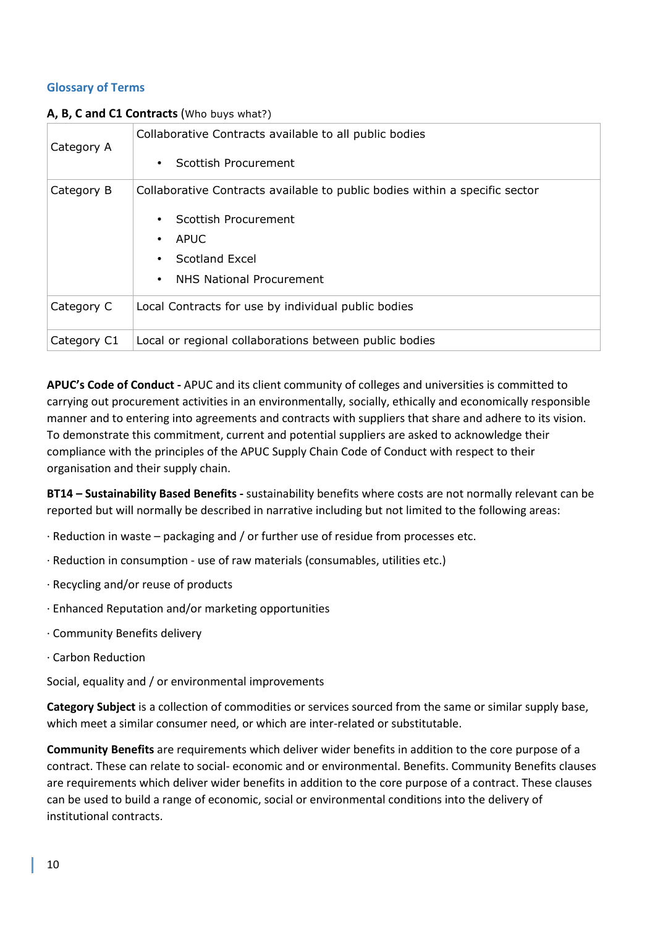# **Glossary of Terms**

| Category A  | Collaborative Contracts available to all public bodies<br>Scottish Procurement                                                                                     |
|-------------|--------------------------------------------------------------------------------------------------------------------------------------------------------------------|
| Category B  | Collaborative Contracts available to public bodies within a specific sector<br>Scottish Procurement<br>APUC<br>• Scotland Excel<br><b>NHS National Procurement</b> |
| Category C  | Local Contracts for use by individual public bodies                                                                                                                |
| Category C1 | Local or regional collaborations between public bodies                                                                                                             |

## **A, B, C and C1 Contracts** (Who buys what?)

**APUC's Code of Conduct -** APUC and its client community of colleges and universities is committed to carrying out procurement activities in an environmentally, socially, ethically and economically responsible manner and to entering into agreements and contracts with suppliers that share and adhere to its vision. To demonstrate this commitment, current and potential suppliers are asked to acknowledge their compliance with the principles of the APUC Supply Chain Code of Conduct with respect to their organisation and their supply chain.

**BT14 – Sustainability Based Benefits -** sustainability benefits where costs are not normally relevant can be reported but will normally be described in narrative including but not limited to the following areas:

- · Reduction in waste packaging and / or further use of residue from processes etc.
- · Reduction in consumption use of raw materials (consumables, utilities etc.)
- · Recycling and/or reuse of products
- · Enhanced Reputation and/or marketing opportunities
- · Community Benefits delivery
- · Carbon Reduction

Social, equality and / or environmental improvements

**Category Subject** is a collection of commodities or services sourced from the same or similar supply base, which meet a similar consumer need, or which are inter-related or substitutable.

**Community Benefits** are requirements which deliver wider benefits in addition to the core purpose of a contract. These can relate to social- economic and or environmental. Benefits. Community Benefits clauses are requirements which deliver wider benefits in addition to the core purpose of a contract. These clauses can be used to build a range of economic, social or environmental conditions into the delivery of institutional contracts.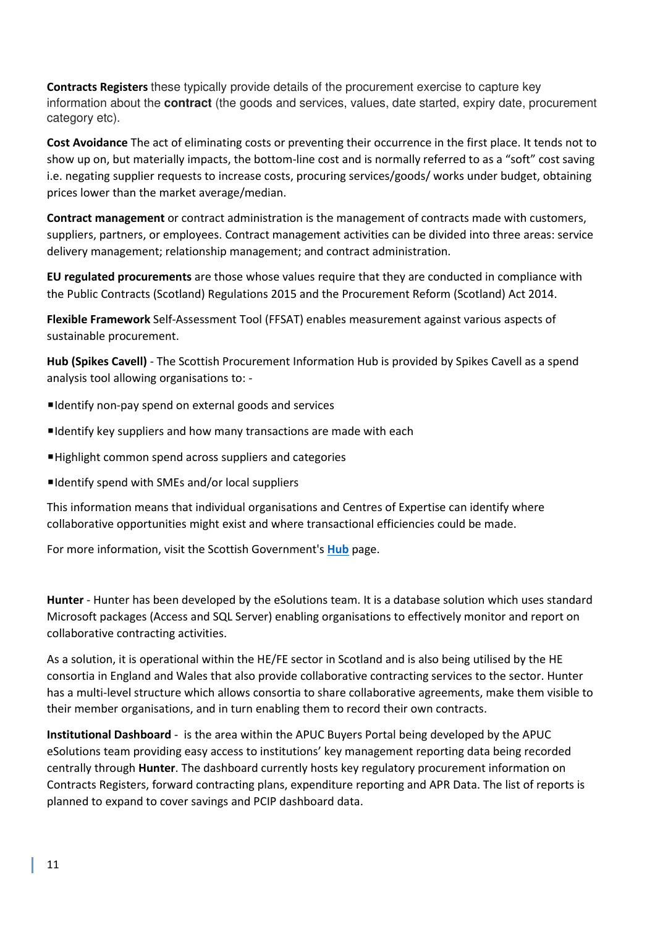**Contracts Registers** these typically provide details of the procurement exercise to capture key information about the **contract** (the goods and services, values, date started, expiry date, procurement category etc).

**Cost Avoidance** The act of eliminating costs or preventing their occurrence in the first place. It tends not to show up on, but materially impacts, the bottom-line cost and is normally referred to as a "soft" cost saving i.e. negating supplier requests to increase costs, procuring services/goods/ works under budget, obtaining prices lower than the market average/median.

**Contract management** or contract administration is the management of contracts made with customers, suppliers, partners, or employees. Contract management activities can be divided into three areas: service delivery management; relationship management; and contract administration.

**EU regulated procurements** are those whose values require that they are conducted in compliance with the Public Contracts (Scotland) Regulations 2015 and the Procurement Reform (Scotland) Act 2014.

**Flexible Framework** Self-Assessment Tool (FFSAT) enables measurement against various aspects of sustainable procurement.

**Hub (Spikes Cavell)** - The Scottish Procurement Information Hub is provided by Spikes Cavell as a spend analysis tool allowing organisations to: -

- ■Identify non-pay spend on external goods and services
- ■Identify key suppliers and how many transactions are made with each
- ■Highlight common spend across suppliers and categories
- ■Identify spend with SMEs and/or local suppliers

This information means that individual organisations and Centres of Expertise can identify where collaborative opportunities might exist and where transactional efficiencies could be made.

For more information, visit the Scottish Government's **Hub** page.

**Hunter** - Hunter has been developed by the eSolutions team. It is a database solution which uses standard Microsoft packages (Access and SQL Server) enabling organisations to effectively monitor and report on collaborative contracting activities.

As a solution, it is operational within the HE/FE sector in Scotland and is also being utilised by the HE consortia in England and Wales that also provide collaborative contracting services to the sector. Hunter has a multi-level structure which allows consortia to share collaborative agreements, make them visible to their member organisations, and in turn enabling them to record their own contracts.

**Institutional Dashboard** - is the area within the APUC Buyers Portal being developed by the APUC eSolutions team providing easy access to institutions' key management reporting data being recorded centrally through **Hunter**. The dashboard currently hosts key regulatory procurement information on Contracts Registers, forward contracting plans, expenditure reporting and APR Data. The list of reports is planned to expand to cover savings and PCIP dashboard data.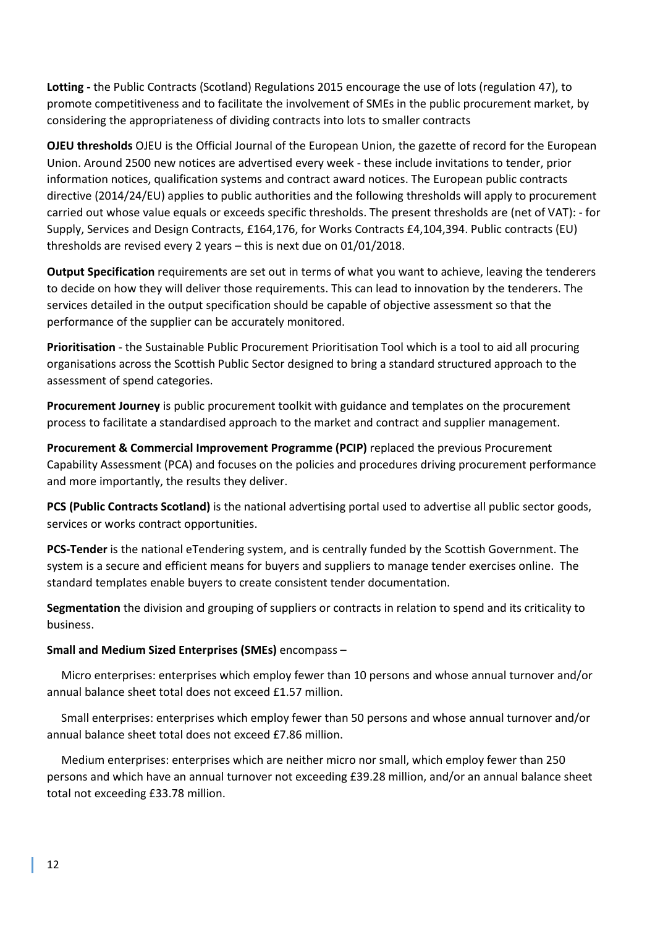**Lotting -** the Public Contracts (Scotland) Regulations 2015 encourage the use of lots (regulation 47), to promote competitiveness and to facilitate the involvement of SMEs in the public procurement market, by considering the appropriateness of dividing contracts into lots to smaller contracts

**OJEU thresholds** OJEU is the Official Journal of the European Union, the gazette of record for the European Union. Around 2500 new notices are advertised every week - these include invitations to tender, prior information notices, qualification systems and contract award notices. The European public contracts directive (2014/24/EU) applies to public authorities and the following thresholds will apply to procurement carried out whose value equals or exceeds specific thresholds. The present thresholds are (net of VAT): - for Supply, Services and Design Contracts, £164,176, for Works Contracts £4,104,394. Public contracts (EU) thresholds are revised every 2 years – this is next due on 01/01/2018.

**Output Specification** requirements are set out in terms of what you want to achieve, leaving the tenderers to decide on how they will deliver those requirements. This can lead to innovation by the tenderers. The services detailed in the output specification should be capable of objective assessment so that the performance of the supplier can be accurately monitored.

**Prioritisation** - the Sustainable Public Procurement Prioritisation Tool which is a tool to aid all procuring organisations across the Scottish Public Sector designed to bring a standard structured approach to the assessment of spend categories.

**Procurement Journey** is public procurement toolkit with guidance and templates on the procurement process to facilitate a standardised approach to the market and contract and supplier management.

**Procurement & Commercial Improvement Programme (PCIP)** replaced the previous Procurement Capability Assessment (PCA) and focuses on the policies and procedures driving procurement performance and more importantly, the results they deliver.

**PCS (Public Contracts Scotland)** is the national advertising portal used to advertise all public sector goods, services or works contract opportunities.

**PCS-Tender** is the national eTendering system, and is centrally funded by the Scottish Government. The system is a secure and efficient means for buyers and suppliers to manage tender exercises online. The standard templates enable buyers to create consistent tender documentation.

**Segmentation** the division and grouping of suppliers or contracts in relation to spend and its criticality to business.

# **Small and Medium Sized Enterprises (SMEs)** encompass –

 Micro enterprises: enterprises which employ fewer than 10 persons and whose annual turnover and/or annual balance sheet total does not exceed £1.57 million.

 Small enterprises: enterprises which employ fewer than 50 persons and whose annual turnover and/or annual balance sheet total does not exceed £7.86 million.

 Medium enterprises: enterprises which are neither micro nor small, which employ fewer than 250 persons and which have an annual turnover not exceeding £39.28 million, and/or an annual balance sheet total not exceeding £33.78 million.